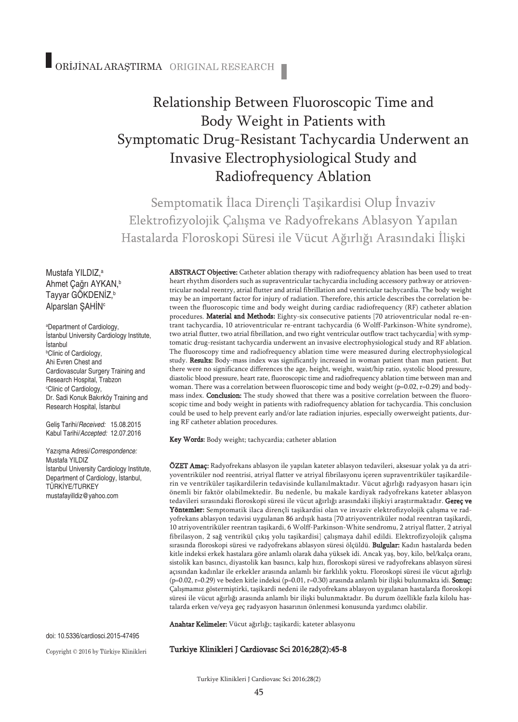# Relationship Between Fluoroscopic Time and Body Weight in Patients with Symptomatic Drug-Resistant Tachycardia Underwent an Invasive Electrophysiological Study and Radiofrequency Ablation

Semptomatik İlaca Direncli Taşikardisi Olup İnvaziv Elektrofizyolojik Çalışma ve Radyofrekans Ablasyon Yapılan Hastalarda Floroskopi Süresi ile Vücut Ağırlığı Arasındaki İlişki

Mustafa YILDIZ, a Ahmet Çağrı AYKAN, b Tayyar GÖKDENİZ, b Alparslan ŞAHİNc

a Department of Cardiology, İstanbul University Cardiology Institute, İstanbul b Clinic of Cardiology, Ahi Evren Chest and Cardiovascular Surgery Training and Research Hospital, Trabzon c Clinic of Cardiology, Dr. Sadi Konuk Bakırköy Training and Research Hospital, İstanbul

Geliş Tarihi/*Received:* 15.08.2015 Kabul Tarihi/*Accepted:* 12.07.2016

Yazışma Adresi/*Correspondence:* Mustafa YILDIZ İstanbul University Cardiology Institute, Department of Cardiology, İstanbul, TÜRKİYE/TURKEY mustafayilldiz@yahoo.com

heart rhythm disorders such as supraventricular tachycardia including accessory pathway or atrioventricular nodal reentry, atrial flutter and atrial fibrillation and ventricular tachycardia. The body weight may be an important factor for injury of radiation. Therefore, this article describes the correlation between the fluoroscopic time and body weight during cardiac radiofrequency (RF) catheter ablation procedures. Material and Methods: Eighty-six consecutive patients [70 atrioventricular nodal re-entrant tachycardia, 10 atrioventricular re-entrant tachycardia (6 Wolff-Parkinson-White syndrome), two atrial flutter, two atrial fibrillation, and two right ventricular outflow tract tachycardia] with symptomatic drug-resistant tachycardia underwent an invasive electrophysiological study and RF ablation. The fluoroscopy time and radiofrequency ablation time were measured during electrophysiological study. Results: Body-mass index was significantly increased in woman patient than man patient. But there were no significance differences the age, height, weight, waist/hip ratio, systolic blood pressure, diastolic blood pressure, heart rate, fluoroscopic time and radiofrequency ablation time between man and woman. There was a correlation between fluoroscopic time and body weight ( $p=0.02$ ,  $r=0.29$ ) and bodymass index. Conclusion: The study showed that there was a positive correlation between the fluoroscopic time and body weight in patients with radiofrequency ablation for tachycardia. This conclusion could be used to help prevent early and/or late radiation injuries, especially owerweight patients, during RF catheter ablation procedures.

ABSTRACT Objective: Catheter ablation therapy with radiofrequency ablation has been used to treat

Key Words: Body weight; tachycardia; catheter ablation

ÖZET Amaç: Radyofrekans ablasyon ile yapılan kateter ablasyon tedavileri, aksesuar yolak ya da atriyoventriküler nod reentrisi, atriyal flatter ve atriyal fibrilasyonu içeren supraventriküler taşikardilerin ve ventriküler taşikardilerin tedavisinde kullanılmaktadır. Vücut ağırlığı radyasyon hasarı için önemli bir faktör olabilmektedir. Bu nedenle, bu makale kardiyak radyofrekans kateter ablasyon tedavileri sırasındaki floroskopi süresi ile vücut ağırlığı arasındaki ilişkiyi araştırmaktadır. Gereç ve Yöntemler: Semptomatik ilaca dirençli taşikardisi olan ve invaziv elektrofizyolojik çalışma ve radyofrekans ablasyon tedavisi uygulanan 86 ardışık hasta [70 atriyoventriküler nodal reentran taşikardi, 10 atriyoventriküler reentran taşikardi, 6 Wolff-Parkinson-White sendromu, 2 atriyal flatter, 2 atriyal fibrilasyon, 2 sağ ventrikül çıkış yolu taşikardisi] çalışmaya dahil edildi. Elektrofizyolojik çalışma sırasında floroskopi süresi ve radyofrekans ablasyon süresi ölçüldü. Bulgular: Kadın hastalarda beden kitle indeksi erkek hastalara göre anlamlı olarak daha yüksek idi. Ancak yaş, boy, kilo, bel/kalça oranı, sistolik kan basıncı, diyastolik kan basıncı, kalp hızı, floroskopi süresi ve radyofrekans ablasyon süresi açısından kadınlar ile erkekler arasında anlamlı bir farklılık yoktu. Floroskopi süresi ile vücut ağırlığı  $(p=0.02, r=0.29)$  ve beden kitle indeksi  $(p=0.01, r=0.30)$  arasında anlamlı bir ilişki bulunmakta idi. **Sonuç:** Çalışmamız göstermiştirki, taşikardi nedeni ile radyofrekans ablasyon uygulanan hastalarda floroskopi süresi ile vücut ağırlığı arasında anlamlı bir ilişki bulunmaktadır. Bu durum özellikle fazla kilolu hastalarda erken ve/veya geç radyasyon hasarının önlenmesi konusunda yardımcı olabilir.

Anahtar Kelimeler: Vücut ağırlığı; taşikardi; kateter ablasyonu

Turkiye Klinikleri J Cardiovasc Sci 2016;28(2):45-8

Copyright © 2016 by Türkiye Klinikleri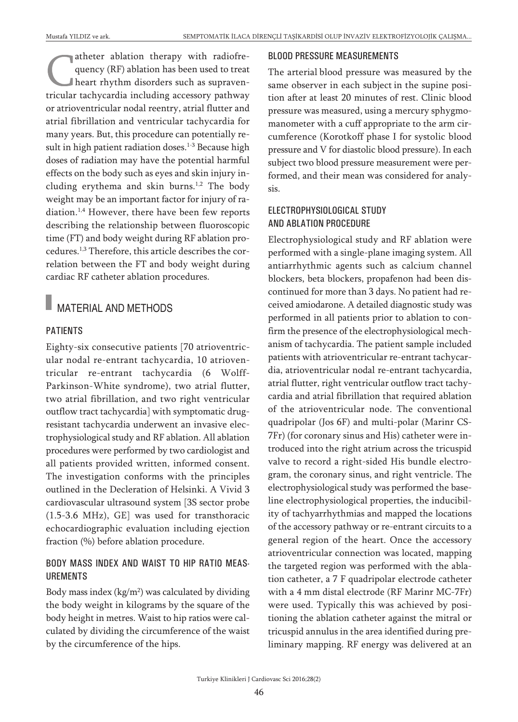atheter ablation therapy with radiofrequency (RF) ablation has been used to treat heart rhythm disorders such as supraventricular tachycardia including accessory pathway or atrioventricular nodal reentry, atrial flutter and atrial fibrillation and ventricular tachycardia for many years. But, this procedure can potentially result in high patient radiation doses. 1-3 Because high doses of radiation may have the potential harmful effects on the body such as eyes and skin injury including erythema and skin burns. 1,2 The body weight may be an important factor for injury of radiation. 1,4 However, there have been few reports describing the relationship between fluoroscopic time (FT) and body weight during RF ablation procedures. 1,3 Therefore, this article describes the correlation between the FT and body weight during cardiac RF catheter ablation procedures.

### MATERIAL AND METHODS

#### PATIENTS

Eighty-six consecutive patients [70 atrioventricular nodal re-entrant tachycardia, 10 atrioventricular re-entrant tachycardia (6 Wolff-Parkinson-White syndrome), two atrial flutter, two atrial fibrillation, and two right ventricular outflow tract tachycardia] with symptomatic drugresistant tachycardia underwent an invasive electrophysiological study and RF ablation. All ablation procedures were performed by two cardiologist and all patients provided written, informed consent. The investigation conforms with the principles outlined in the Decleration of Helsinki. A Vivid 3 cardiovascular ultrasound system [3S sector probe (1.5-3.6 MHz), GE] was used for transthoracic echocardiographic evaluation including ejection fraction (%) before ablation procedure.

#### BODY MASS INDEX AND WAIST TO HIP RATIO MEAS-UREMENTS

Body mass index  $(kg/m^2)$  was calculated by dividing the body weight in kilograms by the square of the body height in metres. Waist to hip ratios were calculated by dividing the circumference of the waist by the circumference of the hips.

#### BLOOD PRESSURE MEASUREMENTS

The arterial blood pressure was measured by the same observer in each subject in the supine position after at least 20 minutes of rest. Clinic blood pressure was measured, using a mercury sphygmomanometer with a cuff appropriate to the arm circumference (Korotkoff phase I for systolic blood pressure and V for diastolic blood pressure). In each subject two blood pressure measurement were performed, and their mean was considered for analysis.

#### ELECTROPHYSIOLOGICAL STUDY AND ABLATION PROCEDURE

Electrophysiological study and RF ablation were performed with a single-plane imaging system. All antiarrhythmic agents such as calcium channel blockers, beta blockers, propafenon had been discontinued for more than 3 days. No patient had received amiodarone. A detailed diagnostic study was performed in all patients prior to ablation to confirm the presence of the electrophysiological mechanism of tachycardia. The patient sample included patients with atrioventricular re-entrant tachycardia, atrioventricular nodal re-entrant tachycardia, atrial flutter, right ventricular outflow tract tachycardia and atrial fibrillation that required ablation of the atrioventricular node. The conventional quadripolar (Jos 6F) and multi-polar (Marinr CS-7Fr) (for coronary sinus and His) catheter were introduced into the right atrium across the tricuspid valve to record a right-sided His bundle electrogram, the coronary sinus, and right ventricle. The electrophysiological study was performed the baseline electrophysiological properties, the inducibility of tachyarrhythmias and mapped the locations of the accessory pathway or re-entrant circuits to a general region of the heart. Once the accessory atrioventricular connection was located, mapping the targeted region was performed with the ablation catheter, a 7 F quadripolar electrode catheter with a 4 mm distal electrode (RF Marinr MC-7Fr) were used. Typically this was achieved by positioning the ablation catheter against the mitral or tricuspid annulus in the area identified during preliminary mapping. RF energy was delivered at an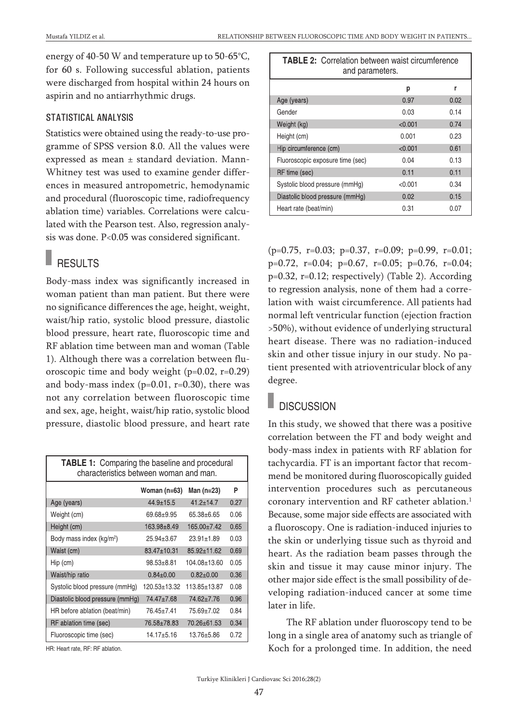energy of 40-50 W and temperature up to 50-65°C, for 60 s. Following successful ablation, patients were discharged from hospital within 24 hours on aspirin and no antiarrhythmic drugs.

#### STATISTICAL ANALYSIS

Statistics were obtained using the ready-to-use programme of SPSS version 8.0. All the values were expressed as mean ± standard deviation. Mann-Whitney test was used to examine gender differences in measured antropometric, hemodynamic and procedural (fluoroscopic time, radiofrequency ablation time) variables. Correlations were calculated with the Pearson test. Also, regression analysis was done. P<0.05 was considered significant.

# $\blacksquare$  RESULTS

Body-mass index was significantly increased in woman patient than man patient. But there were no significance differences the age, height, weight, waist/hip ratio, systolic blood pressure, diastolic blood pressure, heart rate, fluoroscopic time and RF ablation time between man and woman (Table 1). Although there was a correlation between fluoroscopic time and body weight (p=0.02, r=0.29) and body-mass index  $(p=0.01, r=0.30)$ , there was not any correlation between fluoroscopic time and sex, age, height, waist/hip ratio, systolic blood pressure, diastolic blood pressure, and heart rate

| <b>TABLE 1:</b> Comparing the baseline and procedural<br>characteristics between woman and man. |                  |                   |      |  |
|-------------------------------------------------------------------------------------------------|------------------|-------------------|------|--|
|                                                                                                 | Woman (n=63)     | Man (n=23)        | P    |  |
| Age (years)                                                                                     | $44.9 \pm 15.5$  | $41.2 + 14.7$     | 0.27 |  |
| Weight (cm)                                                                                     | 69.68±9.95       | $65.38 + 6.65$    | 0.06 |  |
| Height (cm)                                                                                     | 163.98±8.49      | 165.00±7.42       | 0.65 |  |
| Body mass index (kg/m <sup>2</sup> )                                                            | $25.94 \pm 3.67$ | $23.91 \pm 1.89$  | 0.03 |  |
| Waist (cm)                                                                                      | 83.47±10.31      | $85.92 \pm 11.62$ | 0.69 |  |
| $Hip$ (cm)                                                                                      | $98.53 + 8.81$   | 104.08±13.60      | 0.05 |  |
| Waist/hip ratio                                                                                 | $0.84 \pm 0.00$  | $0.82 + 0.00$     | 0.36 |  |
| Systolic blood pressure (mmHg)                                                                  | 120.53±13.32     | 113.85±13.87      | 0.08 |  |
| Diastolic blood pressure (mmHg)                                                                 | 74.47±7.68       | 74.62±7.76        | 0.96 |  |
| HR before ablation (beat/min)                                                                   | 76.45±7.41       | 75.69±7.02        | 0.84 |  |
| RF ablation time (sec)                                                                          | 76.58±78.83      | 70.26±61.53       | 0.34 |  |
| Fluoroscopic time (sec)                                                                         | 14.17±5.16       | 13.76±5.86        | 0.72 |  |

HR: Heart rate, RF: RF ablation.

| <b>TABLE 2:</b> Correlation between waist circumference<br>and parameters. |         |      |  |
|----------------------------------------------------------------------------|---------|------|--|
|                                                                            | р       | r    |  |
| Age (years)                                                                | 0.97    | 0.02 |  |
| Gender                                                                     | 0.03    | 0.14 |  |
| Weight (kg)                                                                | < 0.001 | 0.74 |  |
| Height (cm)                                                                | 0.001   | 0.23 |  |
| Hip circumference (cm)                                                     | < 0.001 | 0.61 |  |
| Fluoroscopic exposure time (sec)                                           | 0.04    | 0.13 |  |
| RF time (sec)                                                              | 0.11    | 0.11 |  |
| Systolic blood pressure (mmHg)                                             | < 0.001 | 0.34 |  |
| Diastolic blood pressure (mmHg)                                            | 0.02    | 0.15 |  |
| Heart rate (beat/min)                                                      | 0.31    | 0.07 |  |

(p=0.75, r=0.03; p=0.37, r=0.09; p=0.99, r=0.01; p=0.72, r=0.04; p=0.67, r=0.05; p=0.76, r=0.04; p=0.32, r=0.12; respectively) (Table 2). According to regression analysis, none of them had a correlation with waist circumference. All patients had normal left ventricular function (ejection fraction >50%), without evidence of underlying structural heart disease. There was no radiation-induced skin and other tissue injury in our study. No patient presented with atrioventricular block of any degree.

### **DISCUSSION**

In this study, we showed that there was a positive correlation between the FT and body weight and body-mass index in patients with RF ablation for tachycardia. FT is an important factor that recommend be monitored during fluoroscopically guided intervention procedures such as percutaneous coronary intervention and RF catheter ablation. 1 Because, some major side effects are associated with a fluoroscopy. One is radiation-induced injuries to the skin or underlying tissue such as thyroid and heart. As the radiation beam passes through the skin and tissue it may cause minor injury. The other major side effect is the small possibility of developing radiation-induced cancer at some time later in life.

The RF ablation under fluoroscopy tend to be long in a single area of anatomy such as triangle of Koch for a prolonged time. In addition, the need